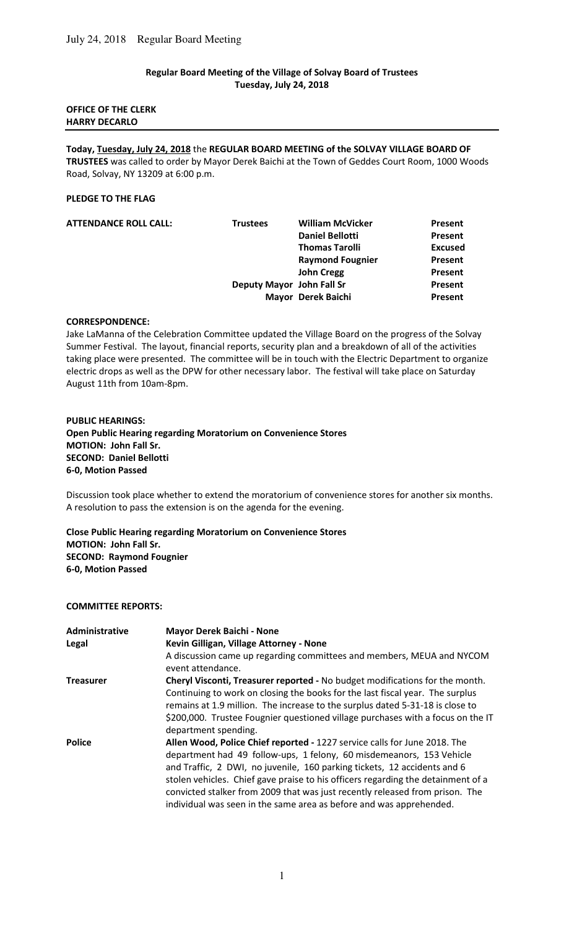# **Regular Board Meeting of the Village of Solvay Board of Trustees Tuesday, July 24, 2018**

## **OFFICE OF THE CLERK HARRY DECARLO**

**Today, Tuesday, July 24, 2018** the **REGULAR BOARD MEETING of the SOLVAY VILLAGE BOARD OF TRUSTEES** was called to order by Mayor Derek Baichi at the Town of Geddes Court Room, 1000 Woods Road, Solvay, NY 13209 at 6:00 p.m.

# **PLEDGE TO THE FLAG**

| <b>Trustees</b> | <b>William McVicker</b> | Present                                         |
|-----------------|-------------------------|-------------------------------------------------|
|                 | <b>Daniel Bellotti</b>  | Present                                         |
|                 | <b>Thomas Tarolli</b>   | <b>Excused</b>                                  |
|                 | <b>Raymond Fougnier</b> | Present                                         |
|                 | <b>John Cregg</b>       | Present                                         |
|                 |                         | Present                                         |
|                 |                         | Present                                         |
|                 |                         | Deputy Mayor John Fall Sr<br>Mayor Derek Baichi |

### **CORRESPONDENCE:**

Jake LaManna of the Celebration Committee updated the Village Board on the progress of the Solvay Summer Festival. The layout, financial reports, security plan and a breakdown of all of the activities taking place were presented. The committee will be in touch with the Electric Department to organize electric drops as well as the DPW for other necessary labor.The festival will take place on Saturday August 11th from 10am-8pm.

### **PUBLIC HEARINGS:**

**Open Public Hearing regarding Moratorium on Convenience Stores MOTION: John Fall Sr. SECOND: Daniel Bellotti 6-0, Motion Passed** 

Discussion took place whether to extend the moratorium of convenience stores for another six months. A resolution to pass the extension is on the agenda for the evening.

**Close Public Hearing regarding Moratorium on Convenience Stores MOTION: John Fall Sr. SECOND: Raymond Fougnier 6-0, Motion Passed** 

### **COMMITTEE REPORTS:**

| Administrative   | <b>Mayor Derek Baichi - None</b>                                                                                                                                                                                                                                                                                                                                                            |
|------------------|---------------------------------------------------------------------------------------------------------------------------------------------------------------------------------------------------------------------------------------------------------------------------------------------------------------------------------------------------------------------------------------------|
| Legal            | Kevin Gilligan, Village Attorney - None                                                                                                                                                                                                                                                                                                                                                     |
|                  | A discussion came up regarding committees and members, MEUA and NYCOM<br>event attendance.                                                                                                                                                                                                                                                                                                  |
| <b>Treasurer</b> | Cheryl Visconti, Treasurer reported - No budget modifications for the month.                                                                                                                                                                                                                                                                                                                |
|                  | Continuing to work on closing the books for the last fiscal year. The surplus<br>remains at 1.9 million. The increase to the surplus dated 5-31-18 is close to                                                                                                                                                                                                                              |
|                  | \$200,000. Trustee Fougnier questioned village purchases with a focus on the IT<br>department spending.                                                                                                                                                                                                                                                                                     |
| <b>Police</b>    | Allen Wood, Police Chief reported - 1227 service calls for June 2018. The                                                                                                                                                                                                                                                                                                                   |
|                  | department had 49 follow-ups, 1 felony, 60 misdemeanors, 153 Vehicle<br>and Traffic, 2 DWI, no juvenile, 160 parking tickets, 12 accidents and 6<br>stolen vehicles. Chief gave praise to his officers regarding the detainment of a<br>convicted stalker from 2009 that was just recently released from prison. The<br>individual was seen in the same area as before and was apprehended. |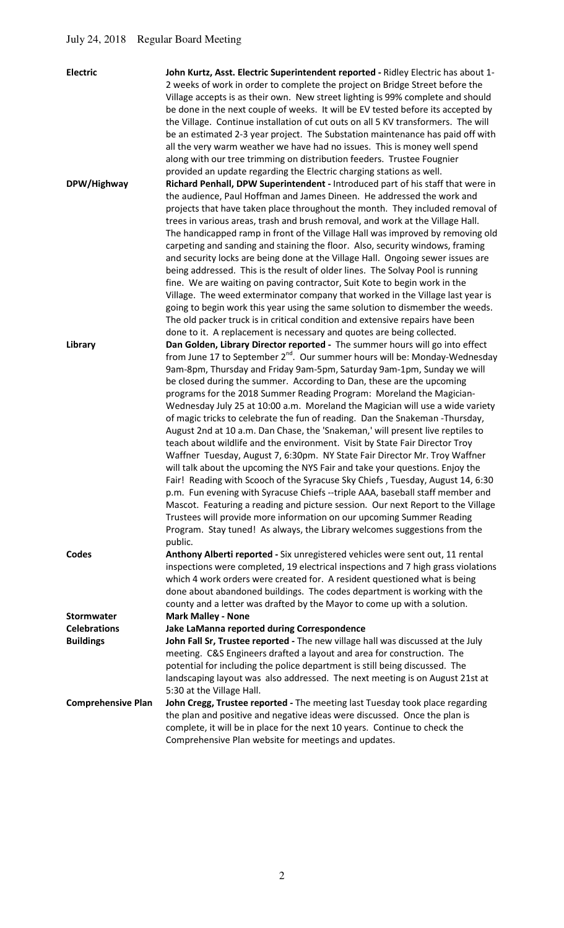| <b>Electric</b>           | John Kurtz, Asst. Electric Superintendent reported - Ridley Electric has about 1-<br>2 weeks of work in order to complete the project on Bridge Street before the<br>Village accepts is as their own. New street lighting is 99% complete and should<br>be done in the next couple of weeks. It will be EV tested before its accepted by<br>the Village. Continue installation of cut outs on all 5 KV transformers. The will<br>be an estimated 2-3 year project. The Substation maintenance has paid off with<br>all the very warm weather we have had no issues. This is money well spend<br>along with our tree trimming on distribution feeders. Trustee Fougnier<br>provided an update regarding the Electric charging stations as well.                                                                                                                                                                                                                                                                                                                                                                                                                                                                                                                                                                           |
|---------------------------|--------------------------------------------------------------------------------------------------------------------------------------------------------------------------------------------------------------------------------------------------------------------------------------------------------------------------------------------------------------------------------------------------------------------------------------------------------------------------------------------------------------------------------------------------------------------------------------------------------------------------------------------------------------------------------------------------------------------------------------------------------------------------------------------------------------------------------------------------------------------------------------------------------------------------------------------------------------------------------------------------------------------------------------------------------------------------------------------------------------------------------------------------------------------------------------------------------------------------------------------------------------------------------------------------------------------------|
| DPW/Highway               | Richard Penhall, DPW Superintendent - Introduced part of his staff that were in<br>the audience, Paul Hoffman and James Dineen. He addressed the work and<br>projects that have taken place throughout the month. They included removal of<br>trees in various areas, trash and brush removal, and work at the Village Hall.<br>The handicapped ramp in front of the Village Hall was improved by removing old<br>carpeting and sanding and staining the floor. Also, security windows, framing<br>and security locks are being done at the Village Hall. Ongoing sewer issues are<br>being addressed. This is the result of older lines. The Solvay Pool is running<br>fine. We are waiting on paving contractor, Suit Kote to begin work in the<br>Village. The weed exterminator company that worked in the Village last year is<br>going to begin work this year using the same solution to dismember the weeds.<br>The old packer truck is in critical condition and extensive repairs have been<br>done to it. A replacement is necessary and quotes are being collected.                                                                                                                                                                                                                                          |
| Library                   | Dan Golden, Library Director reported - The summer hours will go into effect<br>from June 17 to September 2 <sup>nd</sup> . Our summer hours will be: Monday-Wednesday<br>9am-8pm, Thursday and Friday 9am-5pm, Saturday 9am-1pm, Sunday we will<br>be closed during the summer. According to Dan, these are the upcoming<br>programs for the 2018 Summer Reading Program: Moreland the Magician-<br>Wednesday July 25 at 10:00 a.m. Moreland the Magician will use a wide variety<br>of magic tricks to celebrate the fun of reading. Dan the Snakeman -Thursday,<br>August 2nd at 10 a.m. Dan Chase, the 'Snakeman,' will present live reptiles to<br>teach about wildlife and the environment. Visit by State Fair Director Troy<br>Waffner Tuesday, August 7, 6:30pm. NY State Fair Director Mr. Troy Waffner<br>will talk about the upcoming the NYS Fair and take your questions. Enjoy the<br>Fair! Reading with Scooch of the Syracuse Sky Chiefs, Tuesday, August 14, 6:30<br>p.m. Fun evening with Syracuse Chiefs --triple AAA, baseball staff member and<br>Mascot. Featuring a reading and picture session. Our next Report to the Village<br>Trustees will provide more information on our upcoming Summer Reading<br>Program. Stay tuned! As always, the Library welcomes suggestions from the<br>public. |
| <b>Codes</b>              | Anthony Alberti reported - Six unregistered vehicles were sent out, 11 rental<br>inspections were completed, 19 electrical inspections and 7 high grass violations<br>which 4 work orders were created for. A resident questioned what is being<br>done about abandoned buildings. The codes department is working with the<br>county and a letter was drafted by the Mayor to come up with a solution.                                                                                                                                                                                                                                                                                                                                                                                                                                                                                                                                                                                                                                                                                                                                                                                                                                                                                                                  |
| <b>Stormwater</b>         | <b>Mark Malley - None</b>                                                                                                                                                                                                                                                                                                                                                                                                                                                                                                                                                                                                                                                                                                                                                                                                                                                                                                                                                                                                                                                                                                                                                                                                                                                                                                |
| <b>Celebrations</b>       | Jake LaManna reported during Correspondence                                                                                                                                                                                                                                                                                                                                                                                                                                                                                                                                                                                                                                                                                                                                                                                                                                                                                                                                                                                                                                                                                                                                                                                                                                                                              |
| <b>Buildings</b>          | John Fall Sr, Trustee reported - The new village hall was discussed at the July<br>meeting. C&S Engineers drafted a layout and area for construction. The<br>potential for including the police department is still being discussed. The<br>landscaping layout was also addressed. The next meeting is on August 21st at<br>5:30 at the Village Hall.                                                                                                                                                                                                                                                                                                                                                                                                                                                                                                                                                                                                                                                                                                                                                                                                                                                                                                                                                                    |
| <b>Comprehensive Plan</b> | John Cregg, Trustee reported - The meeting last Tuesday took place regarding<br>the plan and positive and negative ideas were discussed. Once the plan is<br>complete, it will be in place for the next 10 years. Continue to check the<br>Comprehensive Plan website for meetings and updates.                                                                                                                                                                                                                                                                                                                                                                                                                                                                                                                                                                                                                                                                                                                                                                                                                                                                                                                                                                                                                          |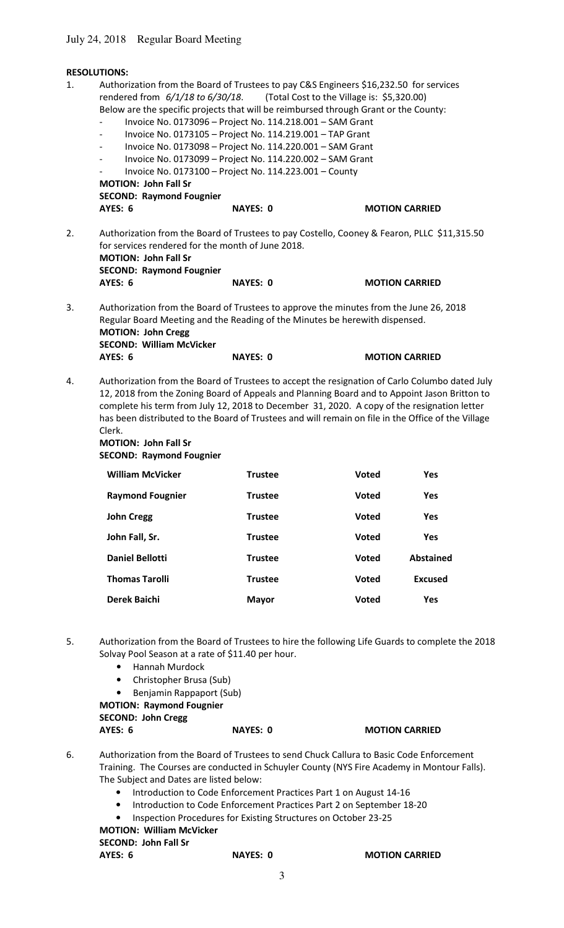# July 24, 2018 Regular Board Meeting

|                                                                | <b>RESOLUTIONS:</b>                                                                                                                                                                                                                                                                                                                                                                                                                                                                                                                                                                                                                                                                                 |                 |              |                       |
|----------------------------------------------------------------|-----------------------------------------------------------------------------------------------------------------------------------------------------------------------------------------------------------------------------------------------------------------------------------------------------------------------------------------------------------------------------------------------------------------------------------------------------------------------------------------------------------------------------------------------------------------------------------------------------------------------------------------------------------------------------------------------------|-----------------|--------------|-----------------------|
| 1.                                                             | Authorization from the Board of Trustees to pay C&S Engineers \$16,232.50 for services<br>rendered from $6/1/18$ to $6/30/18$ . (Total Cost to the Village is: \$5,320.00)<br>Below are the specific projects that will be reimbursed through Grant or the County:<br>Invoice No. 0173096 - Project No. 114.218.001 - SAM Grant<br>Invoice No. 0173105 - Project No. 114.219.001 - TAP Grant<br>Invoice No. 0173098 - Project No. 114.220.001 - SAM Grant<br>Invoice No. 0173099 - Project No. 114.220.002 - SAM Grant<br>Invoice No. 0173100 - Project No. 114.223.001 - County<br><b>MOTION: John Fall Sr</b><br><b>SECOND: Raymond Fougnier</b><br><b>AYES: 6</b>                                | <b>NAYES: 0</b> |              | <b>MOTION CARRIED</b> |
| 2.                                                             | Authorization from the Board of Trustees to pay Costello, Cooney & Fearon, PLLC \$11,315.50<br>for services rendered for the month of June 2018.<br><b>MOTION: John Fall Sr</b><br><b>SECOND: Raymond Fougnier</b>                                                                                                                                                                                                                                                                                                                                                                                                                                                                                  |                 |              |                       |
|                                                                | <b>AYES: 6</b>                                                                                                                                                                                                                                                                                                                                                                                                                                                                                                                                                                                                                                                                                      | <b>NAYES: 0</b> |              | <b>MOTION CARRIED</b> |
| 3.<br>4.                                                       | Authorization from the Board of Trustees to approve the minutes from the June 26, 2018<br>Regular Board Meeting and the Reading of the Minutes be herewith dispensed.<br><b>MOTION: John Cregg</b><br><b>SECOND: William McVicker</b><br>AYES: 6<br><b>NAYES: 0</b><br><b>MOTION CARRIED</b><br>Authorization from the Board of Trustees to accept the resignation of Carlo Columbo dated July<br>12, 2018 from the Zoning Board of Appeals and Planning Board and to Appoint Jason Britton to<br>complete his term from July 12, 2018 to December 31, 2020. A copy of the resignation letter<br>has been distributed to the Board of Trustees and will remain on file in the Office of the Village |                 |              |                       |
|                                                                | Clerk.                                                                                                                                                                                                                                                                                                                                                                                                                                                                                                                                                                                                                                                                                              |                 |              |                       |
| <b>MOTION: John Fall Sr</b><br><b>SECOND: Raymond Fougnier</b> |                                                                                                                                                                                                                                                                                                                                                                                                                                                                                                                                                                                                                                                                                                     |                 |              |                       |
|                                                                | <b>William McVicker</b>                                                                                                                                                                                                                                                                                                                                                                                                                                                                                                                                                                                                                                                                             | <b>Trustee</b>  | <b>Voted</b> | Yes                   |
|                                                                | <b>Raymond Fougnier</b>                                                                                                                                                                                                                                                                                                                                                                                                                                                                                                                                                                                                                                                                             | <b>Trustee</b>  | Voted        | Yes                   |
|                                                                | <b>John Cregg</b>                                                                                                                                                                                                                                                                                                                                                                                                                                                                                                                                                                                                                                                                                   | <b>Trustee</b>  | <b>Voted</b> | Yes                   |
|                                                                | John Fall, Sr.                                                                                                                                                                                                                                                                                                                                                                                                                                                                                                                                                                                                                                                                                      | <b>Trustee</b>  | Voted        | Yes                   |
|                                                                | <b>Daniel Bellotti</b>                                                                                                                                                                                                                                                                                                                                                                                                                                                                                                                                                                                                                                                                              | <b>Trustee</b>  | <b>Voted</b> | <b>Abstained</b>      |
|                                                                | <b>Thomas Tarolli</b>                                                                                                                                                                                                                                                                                                                                                                                                                                                                                                                                                                                                                                                                               | <b>Trustee</b>  | Voted        | <b>Excused</b>        |

5. Authorization from the Board of Trustees to hire the following Life Guards to complete the 2018 Solvay Pool Season at a rate of \$11.40 per hour.

**Derek Baichi Mayor Voted Yes**

- Hannah Murdock
- Christopher Brusa (Sub)
- Benjamin Rappaport (Sub)

 **MOTION: Raymond Fougnier SECOND: John Cregg** 

**AYES: 6** NAYES: 0 MOTION CARRIED

- 6. Authorization from the Board of Trustees to send Chuck Callura to Basic Code Enforcement Training. The Courses are conducted in Schuyler County (NYS Fire Academy in Montour Falls). The Subject and Dates are listed below:
	- Introduction to Code Enforcement Practices Part 1 on August 14-16
	- Introduction to Code Enforcement Practices Part 2 on September 18-20
	- Inspection Procedures for Existing Structures on October 23-25

**MOTION: William McVicker** 

 **SECOND: John Fall Sr** 

**NAYES: 0 MOTION CARRIED**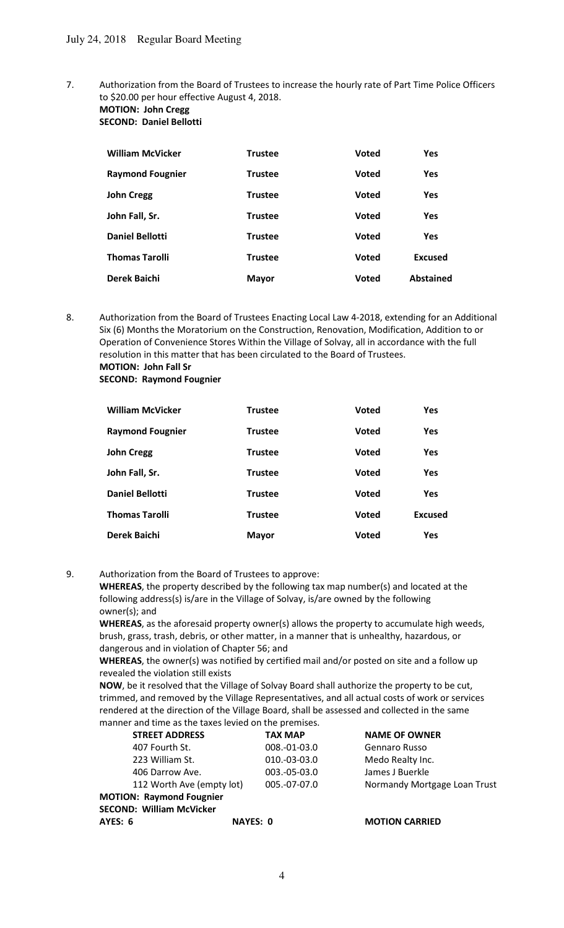7. Authorization from the Board of Trustees to increase the hourly rate of Part Time Police Officers to \$20.00 per hour effective August 4, 2018.

#### **MOTION: John Cregg SECOND: Daniel Bellotti**

| <b>William McVicker</b> | <b>Trustee</b> | <b>Voted</b> | <b>Yes</b>       |
|-------------------------|----------------|--------------|------------------|
| <b>Raymond Fougnier</b> | <b>Trustee</b> | <b>Voted</b> | <b>Yes</b>       |
| <b>John Cregg</b>       | <b>Trustee</b> | <b>Voted</b> | <b>Yes</b>       |
| John Fall, Sr.          | <b>Trustee</b> | <b>Voted</b> | <b>Yes</b>       |
| <b>Daniel Bellotti</b>  | <b>Trustee</b> | <b>Voted</b> | <b>Yes</b>       |
| <b>Thomas Tarolli</b>   | <b>Trustee</b> | <b>Voted</b> | <b>Excused</b>   |
| Derek Baichi            | <b>Mayor</b>   | <b>Voted</b> | <b>Abstained</b> |

8. Authorization from the Board of Trustees Enacting Local Law 4-2018, extending for an Additional Six (6) Months the Moratorium on the Construction, Renovation, Modification, Addition to or Operation of Convenience Stores Within the Village of Solvay, all in accordance with the full resolution in this matter that has been circulated to the Board of Trustees.  **MOTION: John Fall Sr** 

 **SECOND: Raymond Fougnier** 

| <b>William McVicker</b> | <b>Trustee</b> | <b>Voted</b> | <b>Yes</b>     |
|-------------------------|----------------|--------------|----------------|
| <b>Raymond Fougnier</b> | <b>Trustee</b> | <b>Voted</b> | <b>Yes</b>     |
| <b>John Cregg</b>       | <b>Trustee</b> | <b>Voted</b> | <b>Yes</b>     |
| John Fall, Sr.          | <b>Trustee</b> | <b>Voted</b> | <b>Yes</b>     |
| <b>Daniel Bellotti</b>  | <b>Trustee</b> | <b>Voted</b> | <b>Yes</b>     |
| <b>Thomas Tarolli</b>   | <b>Trustee</b> | <b>Voted</b> | <b>Excused</b> |
| Derek Baichi            | <b>Mayor</b>   | Voted        | <b>Yes</b>     |

9. Authorization from the Board of Trustees to approve:

**WHEREAS**, the property described by the following tax map number(s) and located at the following address(s) is/are in the Village of Solvay, is/are owned by the following owner(s); and

**WHEREAS**, as the aforesaid property owner(s) allows the property to accumulate high weeds, brush, grass, trash, debris, or other matter, in a manner that is unhealthy, hazardous, or dangerous and in violation of Chapter 56; and

**WHEREAS**, the owner(s) was notified by certified mail and/or posted on site and a follow up revealed the violation still exists

**NOW**, be it resolved that the Village of Solvay Board shall authorize the property to be cut, trimmed, and removed by the Village Representatives, and all actual costs of work or services rendered at the direction of the Village Board, shall be assessed and collected in the same manner and time as the taxes levied on the premises.

| <b>STREET ADDRESS</b>           | <b>TAX MAP</b> | <b>NAME OF OWNER</b>         |
|---------------------------------|----------------|------------------------------|
| 407 Fourth St.                  | 008.-01-03.0   | <b>Gennaro Russo</b>         |
| 223 William St.                 | 010.-03-03.0   | Medo Realty Inc.             |
| 406 Darrow Ave.                 | 003.-05-03.0   | James J Buerkle              |
| 112 Worth Ave (empty lot)       | 005.-07-07.0   | Normandy Mortgage Loan Trust |
| <b>MOTION: Raymond Fougnier</b> |                |                              |
| <b>SECOND: William McVicker</b> |                |                              |
| AYES: 6<br><b>NAYES: 0</b>      |                | <b>MOTION CARRIED</b>        |
|                                 |                |                              |